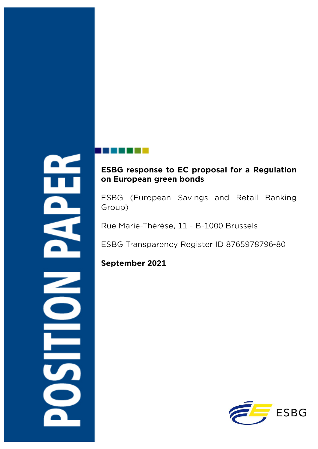# **ESBG response to EC proposal for a Regulation on European green bonds**

ESBG (European Savings and Retail Banking Group)

Rue Marie-Thérèse, 11 - B-1000 Brussels

ESBG Transparency Register ID 8765978796-80

## **September 2021**

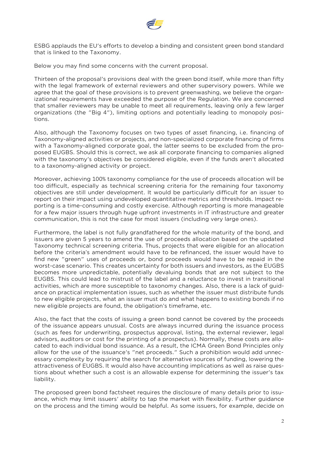

ESBG applauds the EU's efforts to develop a binding and consistent green bond standard that is linked to the Taxonomy.

Below you may find some concerns with the current proposal.

Thirteen of the proposal's provisions deal with the green bond itself, while more than fifty with the legal framework of external reviewers and other supervisory powers. While we agree that the goal of these provisions is to prevent greenwashing, we believe the organizational requirements have exceeded the purpose of the Regulation. We are concerned that smaller reviewers may be unable to meet all requirements, leaving only a few larger organizations (the "Big 4"), limiting options and potentially leading to monopoly positions.

Also, although the Taxonomy focuses on two types of asset financing, i.e. financing of Taxonomy-aligned activities or projects, and non-specialized corporate financing of firms with a Taxonomy-aligned corporate goal, the latter seems to be excluded from the proposed EUGBS. Should this is correct, we ask all corporate financing to companies aligned with the taxonomy's objectives be considered eligible, even if the funds aren't allocated to a taxonomy-aligned activity or project.

Moreover, achieving 100% taxonomy compliance for the use of proceeds allocation will be too difficult, especially as technical screening criteria for the remaining four taxonomy objectives are still under development. It would be particularly difficult for an issuer to report on their impact using undeveloped quantitative metrics and thresholds. Impact reporting is a time-consuming and costly exercise. Although reporting is more manageable for a few major issuers through huge upfront investments in IT infrastructure and greater communication, this is not the case for most issuers (including very large ones).

Furthermore, the label is not fully grandfathered for the whole maturity of the bond, and issuers are given 5 years to amend the use of proceeds allocation based on the updated Taxonomy technical screening criteria. Thus, projects that were eligible for an allocation before the criteria's amendment would have to be refinanced, the issuer would have to find new "green" uses of proceeds or, bond proceeds would have to be repaid in the worst-case scenario. This creates uncertainty for both issuers and investors, as the EUGBS becomes more unpredictable, potentially devaluing bonds that are not subject to the EUGBS. This could lead to mistrust of the label and a reluctance to invest in transitional activities, which are more susceptible to taxonomy changes. Also, there is a lack of guidance on practical implementation issues, such as whether the issuer must distribute funds to new eligible projects, what an issuer must do and what happens to existing bonds if no new eligible projects are found, the obligation's timeframe, etc.

Also, the fact that the costs of issuing a green bond cannot be covered by the proceeds of the issuance appears unusual. Costs are always incurred during the issuance process (such as fees for underwriting, prospectus approval, listing, the external reviewer, legal advisors, auditors or cost for the printing of a prospectus). Normally, these costs are allocated to each individual bond issuance. As a result, the ICMA Green Bond Principles only allow for the use of the issuance's "net proceeds." Such a prohibition would add unnecessary complexity by requiring the search for alternative sources of funding, lowering the attractiveness of EUGBS. It would also have accounting implications as well as raise questions about whether such a cost is an allowable expense for determining the issuer's tax liability.

The proposed green bond factsheet requires the disclosure of many details prior to issuance, which may limit issuers' ability to tap the market with flexibility. Further guidance on the process and the timing would be helpful. As some issuers, for example, decide on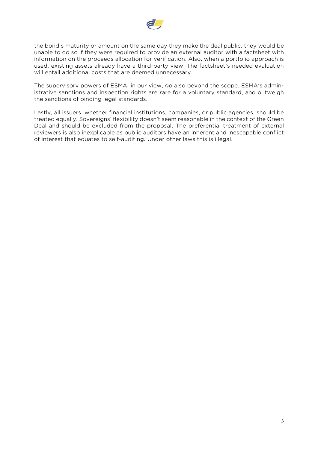

the bond's maturity or amount on the same day they make the deal public, they would be unable to do so if they were required to provide an external auditor with a factsheet with information on the proceeds allocation for verification. Also, when a portfolio approach is used, existing assets already have a third-party view. The factsheet's needed evaluation will entail additional costs that are deemed unnecessary.

The supervisory powers of ESMA, in our view, go also beyond the scope. ESMA's administrative sanctions and inspection rights are rare for a voluntary standard, and outweigh the sanctions of binding legal standards.

Lastly, all issuers, whether financial institutions, companies, or public agencies, should be treated equally. Sovereigns' flexibility doesn't seem reasonable in the context of the Green Deal and should be excluded from the proposal. The preferential treatment of external reviewers is also inexplicable as public auditors have an inherent and inescapable conflict of interest that equates to self-auditing. Under other laws this is illegal.